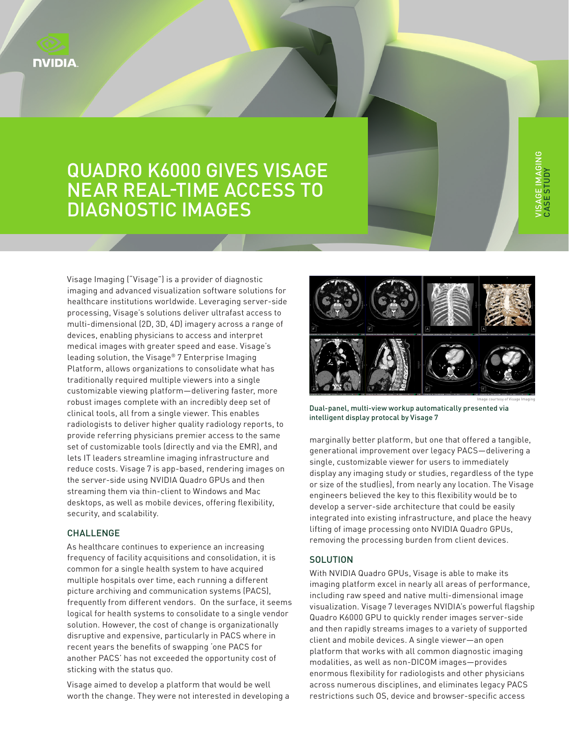

# QUADRO K6000 GIVES VISAGE NEAR REAL-TIME ACCESS TO DIAGNOSTIC IMAGES

Visage Imaging ("Visage") is a provider of diagnostic imaging and advanced visualization software solutions for healthcare institutions worldwide. Leveraging server-side processing, Visage's solutions deliver ultrafast access to multi-dimensional (2D, 3D, 4D) imagery across a range of devices, enabling physicians to access and interpret medical images with greater speed and ease. Visage's leading solution, the Visage® 7 Enterprise Imaging Platform, allows organizations to consolidate what has traditionally required multiple viewers into a single customizable viewing platform—delivering faster, more robust images complete with an incredibly deep set of clinical tools, all from a single viewer. This enables radiologists to deliver higher quality radiology reports, to provide referring physicians premier access to the same set of customizable tools (directly and via the EMR), and lets IT leaders streamline imaging infrastructure and reduce costs. Visage 7 is app-based, rendering images on the server-side using NVIDIA Quadro GPUs and then streaming them via thin-client to Windows and Mac desktops, as well as mobile devices, offering flexibility, security, and scalability.

#### CHALLENGE

As healthcare continues to experience an increasing frequency of facility acquisitions and consolidation, it is common for a single health system to have acquired multiple hospitals over time, each running a different picture archiving and communication systems (PACS), frequently from different vendors. On the surface, it seems logical for health systems to consolidate to a single vendor solution. However, the cost of change is organizationally disruptive and expensive, particularly in PACS where in recent years the benefits of swapping 'one PACS for another PACS' has not exceeded the opportunity cost of sticking with the status quo.

Visage aimed to develop a platform that would be well worth the change. They were not interested in developing a



Dual-panel, multi-view workup automatically presented via intelligent display protocal by Visage 7

marginally better platform, but one that offered a tangible, generational improvement over legacy PACS—delivering a single, customizable viewer for users to immediately display any imaging study or studies, regardless of the type or size of the stud(ies), from nearly any location. The Visage engineers believed the key to this flexibility would be to develop a server-side architecture that could be easily integrated into existing infrastructure, and place the heavy lifting of image processing onto NVIDIA Quadro GPUs, removing the processing burden from client devices.

### **SOLUTION**

With NVIDIA Quadro GPUs, Visage is able to make its imaging platform excel in nearly all areas of performance, including raw speed and native multi-dimensional image visualization. Visage 7 leverages NVIDIA's powerful flagship Quadro K6000 GPU to quickly render images server-side and then rapidly streams images to a variety of supported client and mobile devices. A single viewer—an open platform that works with all common diagnostic imaging modalities, as well as non-DICOM images—provides enormous flexibility for radiologists and other physicians across numerous disciplines, and eliminates legacy PACS restrictions such OS, device and browser-specific access